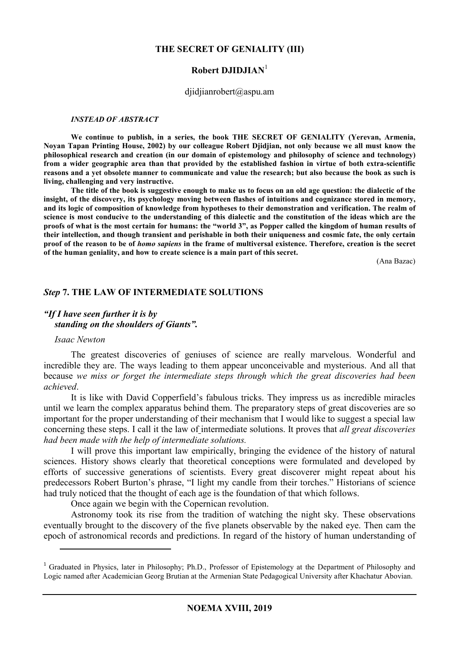#### **THE SECRET OF GENIALITY (III)**

#### **Robert DJIDJIAN**<sup>1</sup>

#### djidjianrobert@aspu.am

#### *INSTEAD OF ABSTRACT*

**We continue to publish, in a series, the book THE SECRET OF GENIALITY (Yerevan, Armenia, Noyan Tapan Printing House, 2002) by our colleague Robert Djidjian, not only because we all must know the philosophical research and creation (in our domain of epistemology and philosophy of science and technology) from a wider geographic area than that provided by the established fashion in virtue of both extra-scientific reasons and a yet obsolete manner to communicate and value the research; but also because the book as such is living, challenging and very instructive.** 

**The title of the book is suggestive enough to make us to focus on an old age question: the dialectic of the insight, of the discovery, its psychology moving between flashes of intuitions and cognizance stored in memory, and its logic of composition of knowledge from hypotheses to their demonstration and verification. The realm of science is most conducive to the understanding of this dialectic and the constitution of the ideas which are the proofs of what is the most certain for humans: the "world 3", as Popper called the kingdom of human results of their intellection, and though transient and perishable in both their uniqueness and cosmic fate, the only certain proof of the reason to be of** *homo sapiens* **in the frame of multiversal existence. Therefore, creation is the secret of the human geniality, and how to create science is a main part of this secret.** 

(Ana Bazac)

#### *Step* **7. THE LAW OF INTERMEDIATE SOLUTIONS**

## *"If I have seen further it is by standing on the shoulders of Giants".*

#### *Isaac Newton*

 $\overline{a}$ 

The greatest discoveries of geniuses of science are really marvelous. Wonderful and incredible they are. The ways leading to them appear unconceivable and mysterious. And all that because *we miss or forget the intermediate steps through which the great discoveries had been achieved*.

It is like with David Copperfield's fabulous tricks. They impress us as incredible miracles until we learn the complex apparatus behind them. The preparatory steps of great discoveries are so important for the proper understanding of their mechanism that I would like to suggest a special law concerning these steps. I call it the law of intermediate solutions. It proves that *all great discoveries had been made with the help of intermediate solutions.* 

I will prove this important law empirically, bringing the evidence of the history of natural sciences. History shows clearly that theoretical conceptions were formulated and developed by efforts of successive generations of scientists. Every great discoverer might repeat about his predecessors Robert Burton's phrase, "I light my candle from their torches." Historians of science had truly noticed that the thought of each age is the foundation of that which follows.

Once again we begin with the Copernican revolution.

Astronomy took its rise from the tradition of watching the night sky. These observations eventually brought to the discovery of the five planets observable by the naked eye. Then cam the epoch of astronomical records and predictions. In regard of the history of human understanding of

<sup>&</sup>lt;sup>1</sup> Graduated in Physics, later in Philosophy; Ph.D., Professor of Epistemology at the Department of Philosophy and Logic named after Academician Georg Brutian at the Armenian State Pedagogical University after Khachatur Abovian.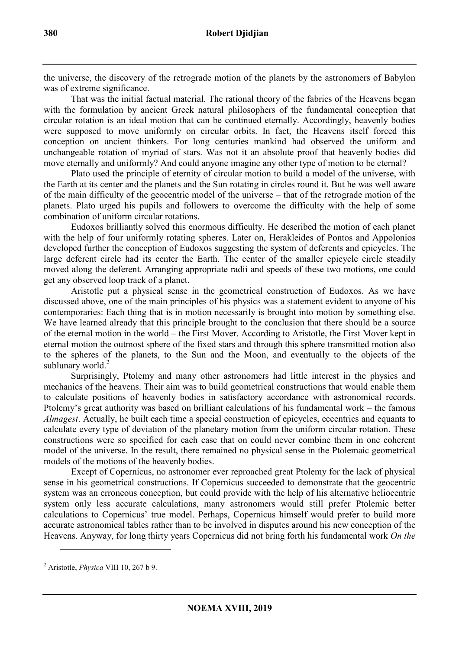the universe, the discovery of the retrograde motion of the planets by the astronomers of Babylon was of extreme significance.

That was the initial factual material. The rational theory of the fabrics of the Heavens began with the formulation by ancient Greek natural philosophers of the fundamental conception that circular rotation is an ideal motion that can be continued eternally. Accordingly, heavenly bodies were supposed to move uniformly on circular orbits. In fact, the Heavens itself forced this conception on ancient thinkers. For long centuries mankind had observed the uniform and unchangeable rotation of myriad of stars. Was not it an absolute proof that heavenly bodies did move eternally and uniformly? And could anyone imagine any other type of motion to be eternal?

Plato used the principle of eternity of circular motion to build a model of the universe, with the Earth at its center and the planets and the Sun rotating in circles round it. But he was well aware of the main difficulty of the geocentric model of the universe – that of the retrograde motion of the planets. Plato urged his pupils and followers to overcome the difficulty with the help of some combination of uniform circular rotations.

Eudoxos brilliantly solved this enormous difficulty. He described the motion of each planet with the help of four uniformly rotating spheres. Later on, Herakleides of Pontos and Appolonios developed further the conception of Eudoxos suggesting the system of deferents and epicycles. The large deferent circle had its center the Earth. The center of the smaller epicycle circle steadily moved along the deferent. Arranging appropriate radii and speeds of these two motions, one could get any observed loop track of a planet.

Aristotle put a physical sense in the geometrical construction of Eudoxos. As we have discussed above, one of the main principles of his physics was a statement evident to anyone of his contemporaries: Each thing that is in motion necessarily is brought into motion by something else. We have learned already that this principle brought to the conclusion that there should be a source of the eternal motion in the world – the First Mover. According to Aristotle, the First Mover kept in eternal motion the outmost sphere of the fixed stars and through this sphere transmitted motion also to the spheres of the planets, to the Sun and the Moon, and eventually to the objects of the sublunary world. $^{2}$ 

Surprisingly, Ptolemy and many other astronomers had little interest in the physics and mechanics of the heavens. Their aim was to build geometrical constructions that would enable them to calculate positions of heavenly bodies in satisfactory accordance with astronomical records. Ptolemy's great authority was based on brilliant calculations of his fundamental work – the famous *Almagest*. Actually, he built each time a special construction of epicycles, eccentrics and equants to calculate every type of deviation of the planetary motion from the uniform circular rotation. These constructions were so specified for each case that on could never combine them in one coherent model of the universe. In the result, there remained no physical sense in the Ptolemaic geometrical models of the motions of the heavenly bodies.

Except of Copernicus, no astronomer ever reproached great Ptolemy for the lack of physical sense in his geometrical constructions. If Copernicus succeeded to demonstrate that the geocentric system was an erroneous conception, but could provide with the help of his alternative heliocentric system only less accurate calculations, many astronomers would still prefer Ptolemic better calculations to Copernicus' true model. Perhaps, Copernicus himself would prefer to build more accurate astronomical tables rather than to be involved in disputes around his new conception of the Heavens. Anyway, for long thirty years Copernicus did not bring forth his fundamental work *On the* 

<sup>2</sup> Aristotle, *Physica* VIII 10, 267 b 9.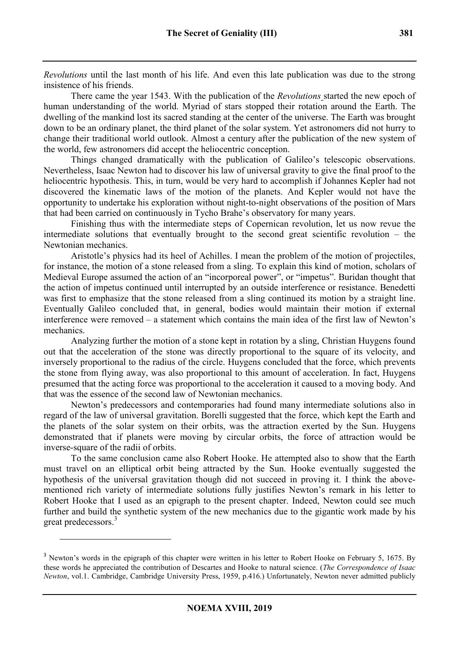*Revolutions* until the last month of his life. And even this late publication was due to the strong insistence of his friends.

There came the year 1543. With the publication of the *Revolutions* started the new epoch of human understanding of the world. Myriad of stars stopped their rotation around the Earth. The dwelling of the mankind lost its sacred standing at the center of the universe. The Earth was brought down to be an ordinary planet, the third planet of the solar system. Yet astronomers did not hurry to change their traditional world outlook. Almost a century after the publication of the new system of the world, few astronomers did accept the heliocentric conception.

Things changed dramatically with the publication of Galileo's telescopic observations. Nevertheless, Isaac Newton had to discover his law of universal gravity to give the final proof to the heliocentric hypothesis. This, in turn, would be very hard to accomplish if Johannes Kepler had not discovered the kinematic laws of the motion of the planets. And Kepler would not have the opportunity to undertake his exploration without night-to-night observations of the position of Mars that had been carried on continuously in Tycho Brahe's observatory for many years.

Finishing thus with the intermediate steps of Copernican revolution, let us now revue the intermediate solutions that eventually brought to the second great scientific revolution – the Newtonian mechanics.

Aristotle's physics had its heel of Achilles. I mean the problem of the motion of projectiles, for instance, the motion of a stone released from a sling. To explain this kind of motion, scholars of Medieval Europe assumed the action of an "incorporeal power", or "impetus". Buridan thought that the action of impetus continued until interrupted by an outside interference or resistance. Benedetti was first to emphasize that the stone released from a sling continued its motion by a straight line. Eventually Galileo concluded that, in general, bodies would maintain their motion if external interference were removed – a statement which contains the main idea of the first law of Newton's mechanics.

Analyzing further the motion of a stone kept in rotation by a sling, Christian Huygens found out that the acceleration of the stone was directly proportional to the square of its velocity, and inversely proportional to the radius of the circle. Huygens concluded that the force, which prevents the stone from flying away, was also proportional to this amount of acceleration. In fact, Huygens presumed that the acting force was proportional to the acceleration it caused to a moving body. And that was the essence of the second law of Newtonian mechanics.

Newton's predecessors and contemporaries had found many intermediate solutions also in regard of the law of universal gravitation. Borelli suggested that the force, which kept the Earth and the planets of the solar system on their orbits, was the attraction exerted by the Sun. Huygens demonstrated that if planets were moving by circular orbits, the force of attraction would be inverse-square of the radii of orbits.

To the same conclusion came also Robert Hooke. He attempted also to show that the Earth must travel on an elliptical orbit being attracted by the Sun. Hooke eventually suggested the hypothesis of the universal gravitation though did not succeed in proving it. I think the abovementioned rich variety of intermediate solutions fully justifies Newton's remark in his letter to Robert Hooke that I used as an epigraph to the present chapter. Indeed, Newton could see much further and build the synthetic system of the new mechanics due to the gigantic work made by his great predecessors.<sup>3</sup>

<sup>&</sup>lt;sup>3</sup> Newton's words in the epigraph of this chapter were written in his letter to Robert Hooke on February 5, 1675. By these words he appreciated the contribution of Descartes and Hooke to natural science. (*The Correspondence of Isaac Newton*, vol.1. Cambridge, Cambridge University Press, 1959, p.416.) Unfortunately, Newton never admitted publicly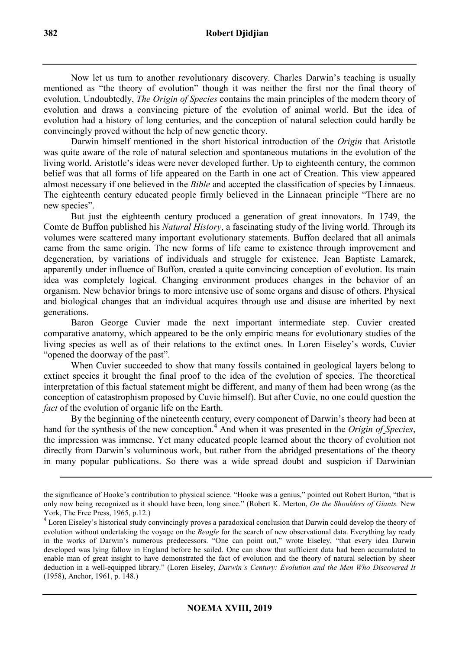Now let us turn to another revolutionary discovery. Charles Darwin's teaching is usually mentioned as "the theory of evolution" though it was neither the first nor the final theory of evolution. Undoubtedly, *The Origin of Species* contains the main principles of the modern theory of evolution and draws a convincing picture of the evolution of animal world. But the idea of evolution had a history of long centuries, and the conception of natural selection could hardly be convincingly proved without the help of new genetic theory.

Darwin himself mentioned in the short historical introduction of the *Origin* that Aristotle was quite aware of the role of natural selection and spontaneous mutations in the evolution of the living world. Aristotle's ideas were never developed further. Up to eighteenth century, the common belief was that all forms of life appeared on the Earth in one act of Creation. This view appeared almost necessary if one believed in the *Bible* and accepted the classification of species by Linnaeus. The eighteenth century educated people firmly believed in the Linnaean principle "There are no new species".

But just the eighteenth century produced a generation of great innovators. In 1749, the Comte de Buffon published his *Natural History*, a fascinating study of the living world. Through its volumes were scattered many important evolutionary statements. Buffon declared that all animals came from the same origin. The new forms of life came to existence through improvement and degeneration, by variations of individuals and struggle for existence. Jean Baptiste Lamarck, apparently under influence of Buffon, created a quite convincing conception of evolution. Its main idea was completely logical. Changing environment produces changes in the behavior of an organism. New behavior brings to more intensive use of some organs and disuse of others. Physical and biological changes that an individual acquires through use and disuse are inherited by next generations.

Baron George Cuvier made the next important intermediate step. Cuvier created comparative anatomy, which appeared to be the only empiric means for evolutionary studies of the living species as well as of their relations to the extinct ones. In Loren Eiseley's words, Cuvier "opened the doorway of the past".

When Cuvier succeeded to show that many fossils contained in geological layers belong to extinct species it brought the final proof to the idea of the evolution of species. The theoretical interpretation of this factual statement might be different, and many of them had been wrong (as the conception of catastrophism proposed by Cuvie himself). But after Cuvie, no one could question the *fact* of the evolution of organic life on the Earth.

By the beginning of the nineteenth century, every component of Darwin's theory had been at hand for the synthesis of the new conception.<sup>4</sup> And when it was presented in the *Origin of Species*, the impression was immense. Yet many educated people learned about the theory of evolution not directly from Darwin's voluminous work, but rather from the abridged presentations of the theory in many popular publications. So there was a wide spread doubt and suspicion if Darwinian

the significance of Hooke's contribution to physical science. "Hooke was a genius," pointed out Robert Burton, "that is only now being recognized as it should have been, long since." (Robert K. Merton, *On the Shoulders of Giants.* New York, The Free Press, 1965, p.12.)

<sup>&</sup>lt;sup>4</sup> Loren Eiseley's historical study convincingly proves a paradoxical conclusion that Darwin could develop the theory of evolution without undertaking the voyage on the *Beagle* for the search of new observational data. Everything lay ready in the works of Darwin's numerous predecessors. "One can point out," wrote Eiseley, "that every idea Darwin developed was lying fallow in England before he sailed. One can show that sufficient data had been accumulated to enable man of great insight to have demonstrated the fact of evolution and the theory of natural selection by sheer deduction in a well-equipped library." (Loren Eiseley, *Darwin's Century: Evolution and the Men Who Discovered It*  (1958), Anchor, 1961, p. 148.)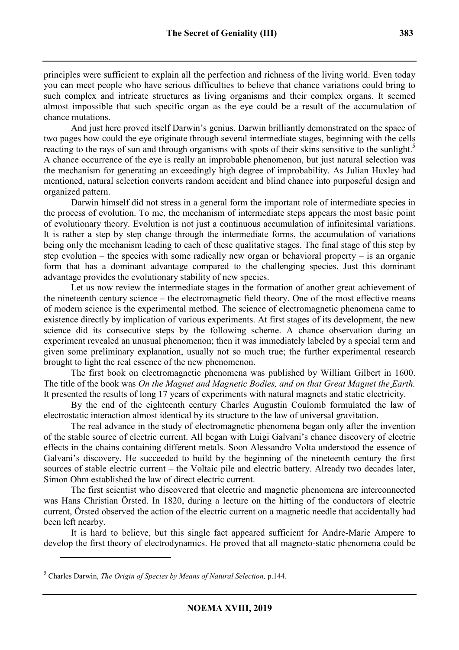principles were sufficient to explain all the perfection and richness of the living world. Even today you can meet people who have serious difficulties to believe that chance variations could bring to such complex and intricate structures as living organisms and their complex organs. It seemed almost impossible that such specific organ as the eye could be a result of the accumulation of chance mutations.

And just here proved itself Darwin's genius. Darwin brilliantly demonstrated on the space of two pages how could the eye originate through several intermediate stages, beginning with the cells reacting to the rays of sun and through organisms with spots of their skins sensitive to the sunlight.<sup>5</sup> A chance occurrence of the eye is really an improbable phenomenon, but just natural selection was the mechanism for generating an exceedingly high degree of improbability. As Julian Huxley had mentioned, natural selection converts random accident and blind chance into purposeful design and organized pattern.

Darwin himself did not stress in a general form the important role of intermediate species in the process of evolution. To me, the mechanism of intermediate steps appears the most basic point of evolutionary theory. Evolution is not just a continuous accumulation of infinitesimal variations. It is rather a step by step change through the intermediate forms, the accumulation of variations being only the mechanism leading to each of these qualitative stages. The final stage of this step by step evolution – the species with some radically new organ or behavioral property – is an organic form that has a dominant advantage compared to the challenging species. Just this dominant advantage provides the evolutionary stability of new species.

Let us now review the intermediate stages in the formation of another great achievement of the nineteenth century science – the electromagnetic field theory. One of the most effective means of modern science is the experimental method. The science of electromagnetic phenomena came to existence directly by implication of various experiments. At first stages of its development, the new science did its consecutive steps by the following scheme. A chance observation during an experiment revealed an unusual phenomenon; then it was immediately labeled by a special term and given some preliminary explanation, usually not so much true; the further experimental research brought to light the real essence of the new phenomenon.

The first book on electromagnetic phenomena was published by William Gilbert in 1600. The title of the book was *On the Magnet and Magnetic Bodies, and on that Great Magnet the Earth.*  It presented the results of long 17 years of experiments with natural magnets and static electricity.

By the end of the eighteenth century Charles Augustin Coulomb formulated the law of electrostatic interaction almost identical by its structure to the law of universal gravitation.

The real advance in the study of electromagnetic phenomena began only after the invention of the stable source of electric current. All began with Luigi Galvani's chance discovery of electric effects in the chains containing different metals. Soon Alessandro Volta understood the essence of Galvani's discovery. He succeeded to build by the beginning of the nineteenth century the first sources of stable electric current – the Voltaic pile and electric battery. Already two decades later, Simon Ohm established the law of direct electric current.

The first scientist who discovered that electric and magnetic phenomena are interconnected was Hans Christian Örsted. In 1820, during a lecture on the hitting of the conductors of electric current, Örsted observed the action of the electric current on a magnetic needle that accidentally had been left nearby.

It is hard to believe, but this single fact appeared sufficient for Andre-Marie Ampere to develop the first theory of electrodynamics. He proved that all magneto-static phenomena could be

<sup>5</sup> Charles Darwin, *The Origin of Species by Means of Natural Selection,* p.144.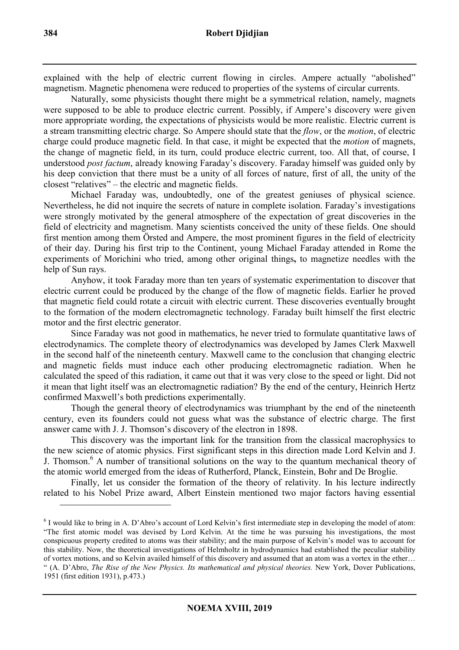explained with the help of electric current flowing in circles. Ampere actually "abolished" magnetism. Magnetic phenomena were reduced to properties of the systems of circular currents.

Naturally, some physicists thought there might be a symmetrical relation, namely, magnets were supposed to be able to produce electric current. Possibly, if Ampere's discovery were given more appropriate wording, the expectations of physicists would be more realistic. Electric current is a stream transmitting electric charge. So Ampere should state that the *flow*, or the *motion*, of electric charge could produce magnetic field. In that case, it might be expected that the *motion* of magnets, the change of magnetic field, in its turn, could produce electric current, too. All that, of course, I understood *post factum*, already knowing Faraday's discovery. Faraday himself was guided only by his deep conviction that there must be a unity of all forces of nature, first of all, the unity of the closest "relatives" – the electric and magnetic fields.

Michael Faraday was, undoubtedly, one of the greatest geniuses of physical science. Nevertheless, he did not inquire the secrets of nature in complete isolation. Faraday's investigations were strongly motivated by the general atmosphere of the expectation of great discoveries in the field of electricity and magnetism. Many scientists conceived the unity of these fields. One should first mention among them Örsted and Ampere, the most prominent figures in the field of electricity of their day. During his first trip to the Continent, young Michael Faraday attended in Rome the experiments of Morichini who tried, among other original things**,** to magnetize needles with the help of Sun rays.

Anyhow, it took Faraday more than ten years of systematic experimentation to discover that electric current could be produced by the change of the flow of magnetic fields. Earlier he proved that magnetic field could rotate a circuit with electric current. These discoveries eventually brought to the formation of the modern electromagnetic technology. Faraday built himself the first electric motor and the first electric generator.

Since Faraday was not good in mathematics, he never tried to formulate quantitative laws of electrodynamics. The complete theory of electrodynamics was developed by James Clerk Maxwell in the second half of the nineteenth century. Maxwell came to the conclusion that changing electric and magnetic fields must induce each other producing electromagnetic radiation. When he calculated the speed of this radiation, it came out that it was very close to the speed or light. Did not it mean that light itself was an electromagnetic radiation? By the end of the century, Heinrich Hertz confirmed Maxwell's both predictions experimentally.

Though the general theory of electrodynamics was triumphant by the end of the nineteenth century, even its founders could not guess what was the substance of electric charge. The first answer came with J. J. Thomson's discovery of the electron in 1898.

This discovery was the important link for the transition from the classical macrophysics to the new science of atomic physics. First significant steps in this direction made Lord Kelvin and J. J. Thomson.<sup>6</sup> A number of transitional solutions on the way to the quantum mechanical theory of the atomic world emerged from the ideas of Rutherford, Planck, Einstein, Bohr and De Broglie.

Finally, let us consider the formation of the theory of relativity. In his lecture indirectly related to his Nobel Prize award, Albert Einstein mentioned two major factors having essential

<sup>&</sup>lt;sup>6</sup> I would like to bring in A. D'Abro's account of Lord Kelvin's first intermediate step in developing the model of atom: "The first atomic model was devised by Lord Kelvin. At the time he was pursuing his investigations, the most conspicuous property credited to atoms was their stability; and the main purpose of Kelvin's model was to account for this stability. Now, the theoretical investigations of Helmholtz in hydrodynamics had established the peculiar stability of vortex motions, and so Kelvin availed himself of this discovery and assumed that an atom was a vortex in the ether… " (A. D'Abro, *The Rise of the New Physics. Its mathematical and physical theories.* New York, Dover Publications, 1951 (first edition 1931), p.473.)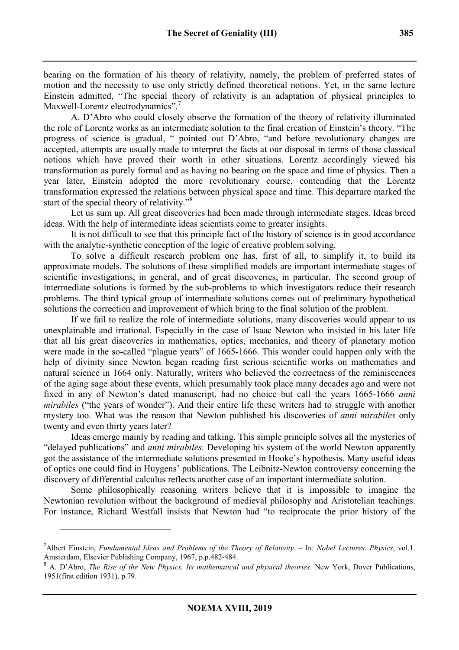bearing on the formation of his theory of relativity, namely, the problem of preferred states of motion and the necessity to use only strictly defined theoretical notions. Yet, in the same lecture Einstein admitted, "The special theory of relativity is an adaptation of physical principles to Maxwell-Lorentz electrodynamics".<sup>7</sup>

A. D'Abro who could closely observe the formation of the theory of relativity illuminated the role of Lorentz works as an intermediate solution to the final creation of Einstein's theory. "The progress of science is gradual, " pointed out D'Abro, "and before revolutionary changes are accepted, attempts are usually made to interpret the facts at our disposal in terms of those classical notions which have proved their worth in other situations. Lorentz accordingly viewed his transformation as purely formal and as having no bearing on the space and time of physics. Then a year later, Einstein adopted the more revolutionary course, contending that the Lorentz transformation expressed the relations between physical space and time. This departure marked the start of the special theory of relativity."<sup>8</sup>

Let us sum up. All great discoveries had been made through intermediate stages. Ideas breed ideas. With the help of intermediate ideas scientists come to greater insights.

It is not difficult to see that this principle fact of the history of science is in good accordance with the analytic-synthetic conception of the logic of creative problem solving.

To solve a difficult research problem one has, first of all, to simplify it, to build its approximate models. The solutions of these simplified models are important intermediate stages of scientific investigations, in general, and of great discoveries, in particular. The second group of intermediate solutions is formed by the sub-problems to which investigators reduce their research problems. The third typical group of intermediate solutions comes out of preliminary hypothetical solutions the correction and improvement of which bring to the final solution of the problem.

If we fail to realize the role of intermediate solutions, many discoveries would appear to us unexplainable and irrational. Especially in the case of Isaac Newton who insisted in his later life that all his great discoveries in mathematics, optics, mechanics, and theory of planetary motion were made in the so-called "plague years" of 1665-1666. This wonder could happen only with the help of divinity since Newton began reading first serious scientific works on mathematics and natural science in 1664 only. Naturally, writers who believed the correctness of the reminiscences of the aging sage about these events, which presumably took place many decades ago and were not fixed in any of Newton's dated manuscript, had no choice but call the years 1665-1666 *anni mirabiles* ("the years of wonder"). And their entire life these writers had to struggle with another mystery too. What was the reason that Newton published his discoveries of *anni mirabiles* only twenty and even thirty years later?

Ideas emerge mainly by reading and talking. This simple principle solves all the mysteries of "delayed publications" and *anni mirabiles.* Developing his system of the world Newton apparently got the assistance of the intermediate solutions presented in Hooke's hypothesis. Many useful ideas of optics one could find in Huygens' publications. The Leibnitz-Newton controversy concerning the discovery of differential calculus reflects another case of an important intermediate solution.

Some philosophically reasoning writers believe that it is impossible to imagine the Newtonian revolution without the background of medieval philosophy and Aristotelian teachings. For instance, Richard Westfall insists that Newton had "to reciprocate the prior history of the

<sup>7</sup>Albert Einstein, *Fundamental Ideas and Problems of the Theory of Relativity*. – In: *Nobel Lectures. Physics*, vol.1. Amsterdam, Elsevier Publishing Company, 1967, p.p.482-484.

<sup>8</sup> A. D'Abro, *The Rise of the New Physics. Its mathematical and physical theories*. New York, Dover Publications, 1951(first edition 1931), p.79.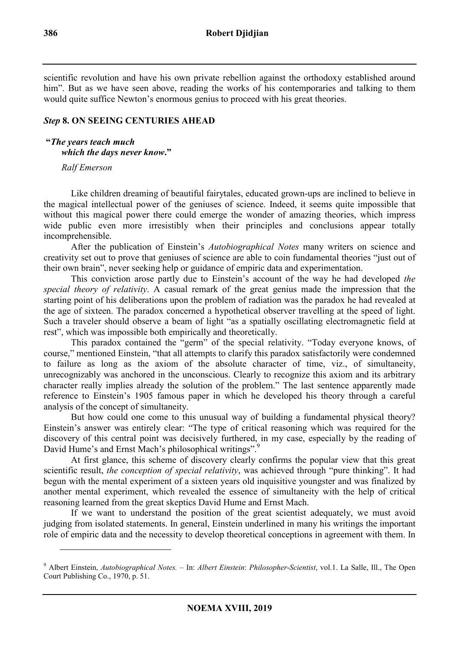scientific revolution and have his own private rebellion against the orthodoxy established around him". But as we have seen above, reading the works of his contemporaries and talking to them would quite suffice Newton's enormous genius to proceed with his great theories.

# *Step* **8. ON SEEING CENTURIES AHEAD**

 **"***The years teach much which the days never know***."** 

*Ralf Emerson* 

l

Like children dreaming of beautiful fairytales, educated grown-ups are inclined to believe in the magical intellectual power of the geniuses of science. Indeed, it seems quite impossible that without this magical power there could emerge the wonder of amazing theories, which impress wide public even more irresistibly when their principles and conclusions appear totally incomprehensible.

After the publication of Einstein's *Autobiographical Notes* many writers on science and creativity set out to prove that geniuses of science are able to coin fundamental theories "just out of their own brain", never seeking help or guidance of empiric data and experimentation.

This conviction arose partly due to Einstein's account of the way he had developed *the special theory of relativity*. A casual remark of the great genius made the impression that the starting point of his deliberations upon the problem of radiation was the paradox he had revealed at the age of sixteen. The paradox concerned a hypothetical observer travelling at the speed of light. Such a traveler should observe a beam of light "as a spatially oscillating electromagnetic field at rest", which was impossible both empirically and theoretically.

This paradox contained the "germ" of the special relativity. "Today everyone knows, of course," mentioned Einstein, "that all attempts to clarify this paradox satisfactorily were condemned to failure as long as the axiom of the absolute character of time, viz., of simultaneity, unrecognizably was anchored in the unconscious. Clearly to recognize this axiom and its arbitrary character really implies already the solution of the problem." The last sentence apparently made reference to Einstein's 1905 famous paper in which he developed his theory through a careful analysis of the concept of simultaneity.

But how could one come to this unusual way of building a fundamental physical theory? Einstein's answer was entirely clear: "The type of critical reasoning which was required for the discovery of this central point was decisively furthered, in my case, especially by the reading of David Hume's and Ernst Mach's philosophical writings".<sup>9</sup>

At first glance, this scheme of discovery clearly confirms the popular view that this great scientific result, *the conception of special relativity*, was achieved through "pure thinking". It had begun with the mental experiment of a sixteen years old inquisitive youngster and was finalized by another mental experiment, which revealed the essence of simultaneity with the help of critical reasoning learned from the great skeptics David Hume and Ernst Mach.

If we want to understand the position of the great scientist adequately, we must avoid judging from isolated statements. In general, Einstein underlined in many his writings the important role of empiric data and the necessity to develop theoretical conceptions in agreement with them. In

<sup>9</sup> Albert Einstein, *Autobiographical Notes.* – In: *Albert Einstein*: *Philosopher*-*Scientist*, vol.1. La Salle, Ill., The Open Court Publishing Co., 1970, p. 51.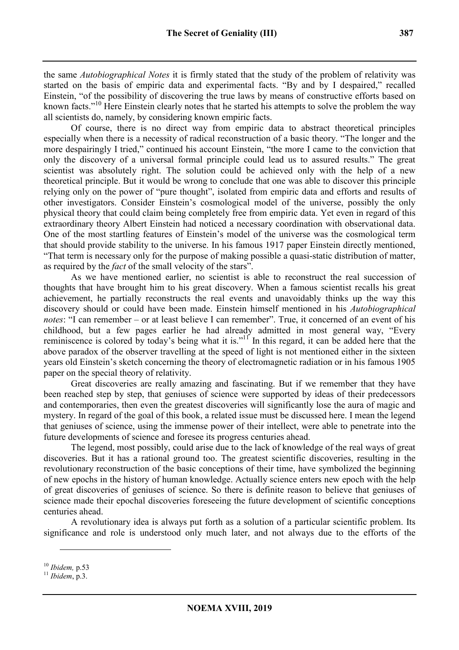the same *Autobiographical Notes* it is firmly stated that the study of the problem of relativity was started on the basis of empiric data and experimental facts. "By and by I despaired," recalled Einstein, "of the possibility of discovering the true laws by means of constructive efforts based on known facts."<sup>10</sup> Here Einstein clearly notes that he started his attempts to solve the problem the way all scientists do, namely, by considering known empiric facts.

Of course, there is no direct way from empiric data to abstract theoretical principles especially when there is a necessity of radical reconstruction of a basic theory. "The longer and the more despairingly I tried," continued his account Einstein, "the more I came to the conviction that only the discovery of a universal formal principle could lead us to assured results." The great scientist was absolutely right. The solution could be achieved only with the help of a new theoretical principle. But it would be wrong to conclude that one was able to discover this principle relying only on the power of "pure thought", isolated from empiric data and efforts and results of other investigators. Consider Einstein's cosmological model of the universe, possibly the only physical theory that could claim being completely free from empiric data. Yet even in regard of this extraordinary theory Albert Einstein had noticed a necessary coordination with observational data. One of the most startling features of Einstein's model of the universe was the cosmological term that should provide stability to the universe. In his famous 1917 paper Einstein directly mentioned, "That term is necessary only for the purpose of making possible a quasi-static distribution of matter, as required by the *fact* of the small velocity of the stars".

As we have mentioned earlier, no scientist is able to reconstruct the real succession of thoughts that have brought him to his great discovery. When a famous scientist recalls his great achievement, he partially reconstructs the real events and unavoidably thinks up the way this discovery should or could have been made. Einstein himself mentioned in his *Autobiographical notes*: "I can remember *–* or at least believe I can remember". True, it concerned of an event of his childhood, but a few pages earlier he had already admitted in most general way, "Every reminiscence is colored by today's being what it is." $\frac{1}{1}$  In this regard, it can be added here that the above paradox of the observer travelling at the speed of light is not mentioned either in the sixteen years old Einstein's sketch concerning the theory of electromagnetic radiation or in his famous 1905 paper on the special theory of relativity.

Great discoveries are really amazing and fascinating. But if we remember that they have been reached step by step, that geniuses of science were supported by ideas of their predecessors and contemporaries, then even the greatest discoveries will significantly lose the aura of magic and mystery. In regard of the goal of this book, a related issue must be discussed here. I mean the legend that geniuses of science, using the immense power of their intellect, were able to penetrate into the future developments of science and foresee its progress centuries ahead.

The legend, most possibly, could arise due to the lack of knowledge of the real ways of great discoveries. But it has a rational ground too. The greatest scientific discoveries, resulting in the revolutionary reconstruction of the basic conceptions of their time, have symbolized the beginning of new epochs in the history of human knowledge. Actually science enters new epoch with the help of great discoveries of geniuses of science. So there is definite reason to believe that geniuses of science made their epochal discoveries foreseeing the future development of scientific conceptions centuries ahead.

A revolutionary idea is always put forth as a solution of a particular scientific problem. Its significance and role is understood only much later, and not always due to the efforts of the

<sup>10</sup> *Ibidem,* p.53

<sup>11</sup> *Ibidem*, p.3.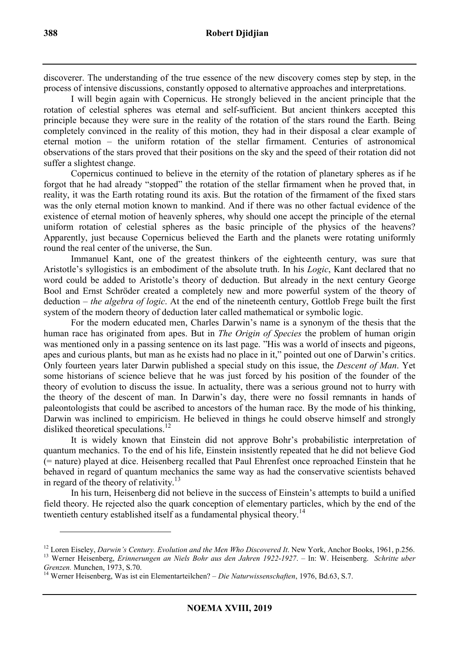discoverer. The understanding of the true essence of the new discovery comes step by step, in the process of intensive discussions, constantly opposed to alternative approaches and interpretations.

I will begin again with Copernicus. He strongly believed in the ancient principle that the rotation of celestial spheres was eternal and self-sufficient. But ancient thinkers accepted this principle because they were sure in the reality of the rotation of the stars round the Earth. Being completely convinced in the reality of this motion, they had in their disposal a clear example of eternal motion – the uniform rotation of the stellar firmament. Centuries of astronomical observations of the stars proved that their positions on the sky and the speed of their rotation did not suffer a slightest change.

Copernicus continued to believe in the eternity of the rotation of planetary spheres as if he forgot that he had already "stopped" the rotation of the stellar firmament when he proved that, in reality, it was the Earth rotating round its axis. But the rotation of the firmament of the fixed stars was the only eternal motion known to mankind. And if there was no other factual evidence of the existence of eternal motion of heavenly spheres, why should one accept the principle of the eternal uniform rotation of celestial spheres as the basic principle of the physics of the heavens? Apparently, just because Copernicus believed the Earth and the planets were rotating uniformly round the real center of the universe, the Sun.

Immanuel Kant, one of the greatest thinkers of the eighteenth century, was sure that Aristotle's syllogistics is an embodiment of the absolute truth. In his *Logic*, Kant declared that no word could be added to Aristotle's theory of deduction. But already in the next century George Bool and Ernst Schröder created a completely new and more powerful system of the theory of deduction – *the algebra of logic*. At the end of the nineteenth century, Gottlob Frege built the first system of the modern theory of deduction later called mathematical or symbolic logic.

For the modern educated men, Charles Darwin's name is a synonym of the thesis that the human race has originated from apes. But in *The Origin of Species* the problem of human origin was mentioned only in a passing sentence on its last page. "His was a world of insects and pigeons, apes and curious plants, but man as he exists had no place in it," pointed out one of Darwin's critics. Only fourteen years later Darwin published a special study on this issue, the *Descent of Man*. Yet some historians of science believe that he was just forced by his position of the founder of the theory of evolution to discuss the issue. In actuality, there was a serious ground not to hurry with the theory of the descent of man. In Darwin's day, there were no fossil remnants in hands of paleontologists that could be ascribed to ancestors of the human race. By the mode of his thinking, Darwin was inclined to empiricism. He believed in things he could observe himself and strongly disliked theoretical speculations.<sup>12</sup>

It is widely known that Einstein did not approve Bohr's probabilistic interpretation of quantum mechanics. To the end of his life, Einstein insistently repeated that he did not believe God (= nature) played at dice. Heisenberg recalled that Paul Ehrenfest once reproached Einstein that he behaved in regard of quantum mechanics the same way as had the conservative scientists behaved in regard of the theory of relativity.<sup>13</sup>

In his turn, Heisenberg did not believe in the success of Einstein's attempts to build a unified field theory. He rejected also the quark conception of elementary particles, which by the end of the twentieth century established itself as a fundamental physical theory.<sup>14</sup>

<sup>&</sup>lt;sup>12</sup> Loren Eiseley, *Darwin's Century. Evolution and the Men Who Discovered It. New York, Anchor Books, 1961, p.256.* <sup>13</sup> Werner Heisenberg, *Erinnerungen an Niels Bohr aus den Jahren 1922*-*1927*. – In: W. Heisenberg. *Schritte uber*

*Grenzen.* Munchen, 1973, S.70.

<sup>14</sup> Werner Heisenberg, Was ist ein Elementarteilchen? – *Die Naturwissenschaften*, 1976, Bd.63, S.7.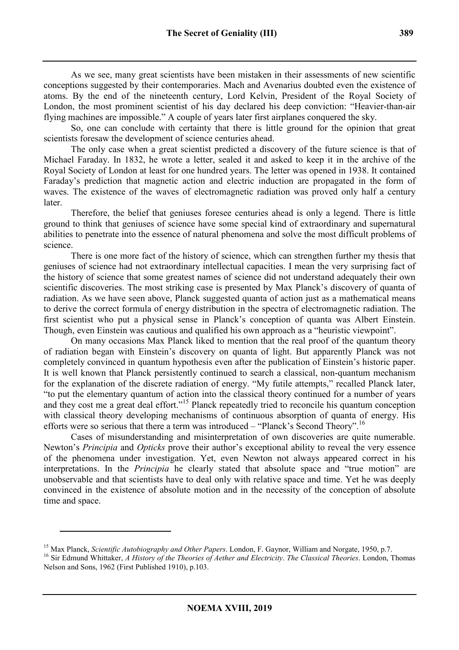As we see, many great scientists have been mistaken in their assessments of new scientific conceptions suggested by their contemporaries. Mach and Avenarius doubted even the existence of atoms. By the end of the nineteenth century, Lord Kelvin, President of the Royal Society of London, the most prominent scientist of his day declared his deep conviction: "Heavier-than-air flying machines are impossible." A couple of years later first airplanes conquered the sky.

So, one can conclude with certainty that there is little ground for the opinion that great scientists foresaw the development of science centuries ahead.

The only case when a great scientist predicted a discovery of the future science is that of Michael Faraday. In 1832, he wrote a letter, sealed it and asked to keep it in the archive of the Royal Society of London at least for one hundred years. The letter was opened in 1938. It contained Faraday's prediction that magnetic action and electric induction are propagated in the form of waves. The existence of the waves of electromagnetic radiation was proved only half a century later.

Therefore, the belief that geniuses foresee centuries ahead is only a legend. There is little ground to think that geniuses of science have some special kind of extraordinary and supernatural abilities to penetrate into the essence of natural phenomena and solve the most difficult problems of science.

There is one more fact of the history of science, which can strengthen further my thesis that geniuses of science had not extraordinary intellectual capacities. I mean the very surprising fact of the history of science that some greatest names of science did not understand adequately their own scientific discoveries. The most striking case is presented by Max Planck's discovery of quanta of radiation. As we have seen above, Planck suggested quanta of action just as a mathematical means to derive the correct formula of energy distribution in the spectra of electromagnetic radiation. The first scientist who put a physical sense in Planck's conception of quanta was Albert Einstein. Though, even Einstein was cautious and qualified his own approach as a "heuristic viewpoint".

On many occasions Max Planck liked to mention that the real proof of the quantum theory of radiation began with Einstein's discovery on quanta of light. But apparently Planck was not completely convinced in quantum hypothesis even after the publication of Einstein's historic paper. It is well known that Planck persistently continued to search a classical, non-quantum mechanism for the explanation of the discrete radiation of energy. "My futile attempts," recalled Planck later, "to put the elementary quantum of action into the classical theory continued for a number of years and they cost me a great deal effort."<sup>15</sup> Planck repeatedly tried to reconcile his quantum conception with classical theory developing mechanisms of continuous absorption of quanta of energy. His efforts were so serious that there a term was introduced – "Planck's Second Theory".<sup>16</sup>

Cases of misunderstanding and misinterpretation of own discoveries are quite numerable. Newton's *Principia* and *Opticks* prove their author's exceptional ability to reveal the very essence of the phenomena under investigation. Yet, even Newton not always appeared correct in his interpretations. In the *Principia* he clearly stated that absolute space and "true motion" are unobservable and that scientists have to deal only with relative space and time. Yet he was deeply convinced in the existence of absolute motion and in the necessity of the conception of absolute time and space.

<sup>15</sup> Max Planck, *Scientific Autobiography and Other Papers*. London, F. Gaynor, William and Norgate, 1950, p.7.

<sup>16</sup> Sir Edmund Whittaker, *A History of the Theories of Aether and Electricity*. *The Classical Theories*. London, Thomas Nelson and Sons, 1962 (First Published 1910), p.103.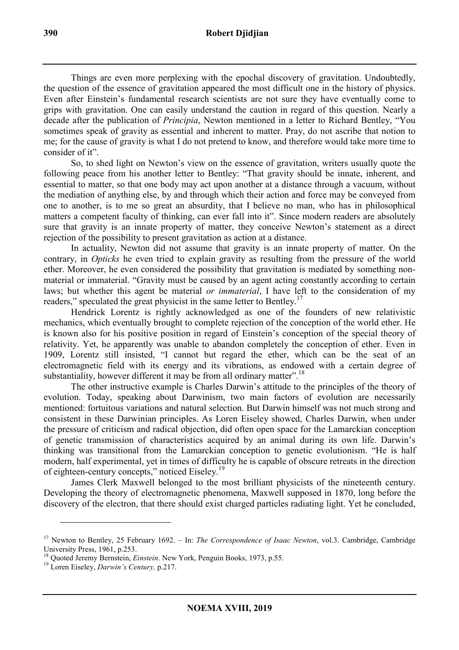Things are even more perplexing with the epochal discovery of gravitation. Undoubtedly, the question of the essence of gravitation appeared the most difficult one in the history of physics. Even after Einstein's fundamental research scientists are not sure they have eventually come to grips with gravitation. One can easily understand the caution in regard of this question. Nearly a decade after the publication of *Principia*, Newton mentioned in a letter to Richard Bentley, "You sometimes speak of gravity as essential and inherent to matter. Pray, do not ascribe that notion to me; for the cause of gravity is what I do not pretend to know, and therefore would take more time to consider of it".

So, to shed light on Newton's view on the essence of gravitation, writers usually quote the following peace from his another letter to Bentley: "That gravity should be innate, inherent, and essential to matter, so that one body may act upon another at a distance through a vacuum, without the mediation of anything else, by and through which their action and force may be conveyed from one to another, is to me so great an absurdity, that I believe no man, who has in philosophical matters a competent faculty of thinking, can ever fall into it". Since modern readers are absolutely sure that gravity is an innate property of matter, they conceive Newton's statement as a direct rejection of the possibility to present gravitation as action at a distance.

In actuality, Newton did not assume that gravity is an innate property of matter. On the contrary, in *Opticks* he even tried to explain gravity as resulting from the pressure of the world ether. Moreover, he even considered the possibility that gravitation is mediated by something nonmaterial or immaterial. "Gravity must be caused by an agent acting constantly according to certain laws; but whether this agent be material *or immaterial*, I have left to the consideration of my readers," speculated the great physicist in the same letter to Bentley.<sup>17</sup>

Hendrick Lorentz is rightly acknowledged as one of the founders of new relativistic mechanics, which eventually brought to complete rejection of the conception of the world ether. He is known also for his positive position in regard of Einstein's conception of the special theory of relativity. Yet, he apparently was unable to abandon completely the conception of ether. Even in 1909, Lorentz still insisted, "I cannot but regard the ether, which can be the seat of an electromagnetic field with its energy and its vibrations, as endowed with a certain degree of substantiality, however different it may be from all ordinary matter".<sup>18</sup>

The other instructive example is Charles Darwin's attitude to the principles of the theory of evolution. Today, speaking about Darwinism, two main factors of evolution are necessarily mentioned: fortuitous variations and natural selection. But Darwin himself was not much strong and consistent in these Darwinian principles. As Loren Eiseley showed, Charles Darwin, when under the pressure of criticism and radical objection, did often open space for the Lamarckian conception of genetic transmission of characteristics acquired by an animal during its own life. Darwin's thinking was transitional from the Lamarckian conception to genetic evolutionism. "He is half modern, half experimental, yet in times of difficulty he is capable of obscure retreats in the direction of eighteen-century concepts," noticed Eiseley.<sup>19</sup>

James Clerk Maxwell belonged to the most brilliant physicists of the nineteenth century. Developing the theory of electromagnetic phenomena, Maxwell supposed in 1870, long before the discovery of the electron, that there should exist charged particles radiating light. Yet he concluded,

<sup>&</sup>lt;sup>17</sup> Newton to Bentley, 25 February 1692. – In: *The Correspondence of Isaac Newton*, vol.3. Cambridge, Cambridge University Press, 1961, p.253.

<sup>18</sup> Quoted Jeremy Bernstein, *Einstein*. New York, Penguin Books, 1973, p.55.

<sup>19</sup> Loren Eiseley, *Darwin's Century,* p.217.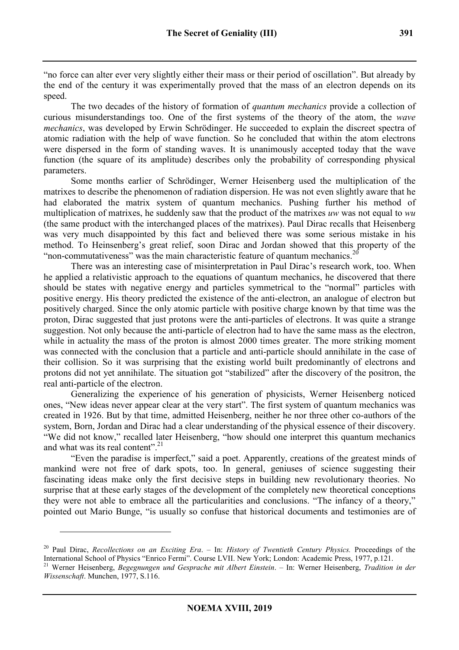The two decades of the history of formation of *quantum mechanics* provide a collection of curious misunderstandings too. One of the first systems of the theory of the atom, the *wave mechanics*, was developed by Erwin Schrödinger. He succeeded to explain the discreet spectra of atomic radiation with the help of wave function. So he concluded that within the atom electrons were dispersed in the form of standing waves. It is unanimously accepted today that the wave function (the square of its amplitude) describes only the probability of corresponding physical parameters.

Some months earlier of Schrödinger, Werner Heisenberg used the multiplication of the matrixes to describe the phenomenon of radiation dispersion. He was not even slightly aware that he had elaborated the matrix system of quantum mechanics. Pushing further his method of multiplication of matrixes, he suddenly saw that the product of the matrixes *uw* was not equal to *wu* (the same product with the interchanged places of the matrixes). Paul Dirac recalls that Heisenberg was very much disappointed by this fact and believed there was some serious mistake in his method. To Heinsenberg's great relief, soon Dirac and Jordan showed that this property of the "non-commutativeness" was the main characteristic feature of quantum mechanics.<sup>20</sup>

There was an interesting case of misinterpretation in Paul Dirac's research work, too. When he applied a relativistic approach to the equations of quantum mechanics, he discovered that there should be states with negative energy and particles symmetrical to the "normal" particles with positive energy. His theory predicted the existence of the anti-electron, an analogue of electron but positively charged. Since the only atomic particle with positive charge known by that time was the proton, Dirac suggested that just protons were the anti-particles of electrons. It was quite a strange suggestion. Not only because the anti-particle of electron had to have the same mass as the electron, while in actuality the mass of the proton is almost 2000 times greater. The more striking moment was connected with the conclusion that a particle and anti-particle should annihilate in the case of their collision. So it was surprising that the existing world built predominantly of electrons and protons did not yet annihilate. The situation got "stabilized" after the discovery of the positron, the real anti-particle of the electron.

Generalizing the experience of his generation of physicists, Werner Heisenberg noticed ones, "New ideas never appear clear at the very start". The first system of quantum mechanics was created in 1926. But by that time, admitted Heisenberg, neither he nor three other co-authors of the system, Born, Jordan and Dirac had a clear understanding of the physical essence of their discovery. "We did not know," recalled later Heisenberg, "how should one interpret this quantum mechanics and what was its real content".<sup>21</sup>

"Even the paradise is imperfect," said a poet. Apparently, creations of the greatest minds of mankind were not free of dark spots, too. In general, geniuses of science suggesting their fascinating ideas make only the first decisive steps in building new revolutionary theories. No surprise that at these early stages of the development of the completely new theoretical conceptions they were not able to embrace all the particularities and conclusions. "The infancy of a theory," pointed out Mario Bunge, "is usually so confuse that historical documents and testimonies are of

<sup>20</sup> Paul Dirac, *Recollections on an Exciting Era*. – In: *History of Twentieth Century Physics.* Proceedings of the International School of Physics "Enrico Fermi". Course LVII. New York; London: Academic Press, 1977, p.121.

<sup>21</sup> Werner Heisenberg, *Begegnungen und Gesprache mit Albert Einstein*. – In: Werner Heisenberg, *Tradition in der Wissenschaft*. Munchen, 1977, S.116.